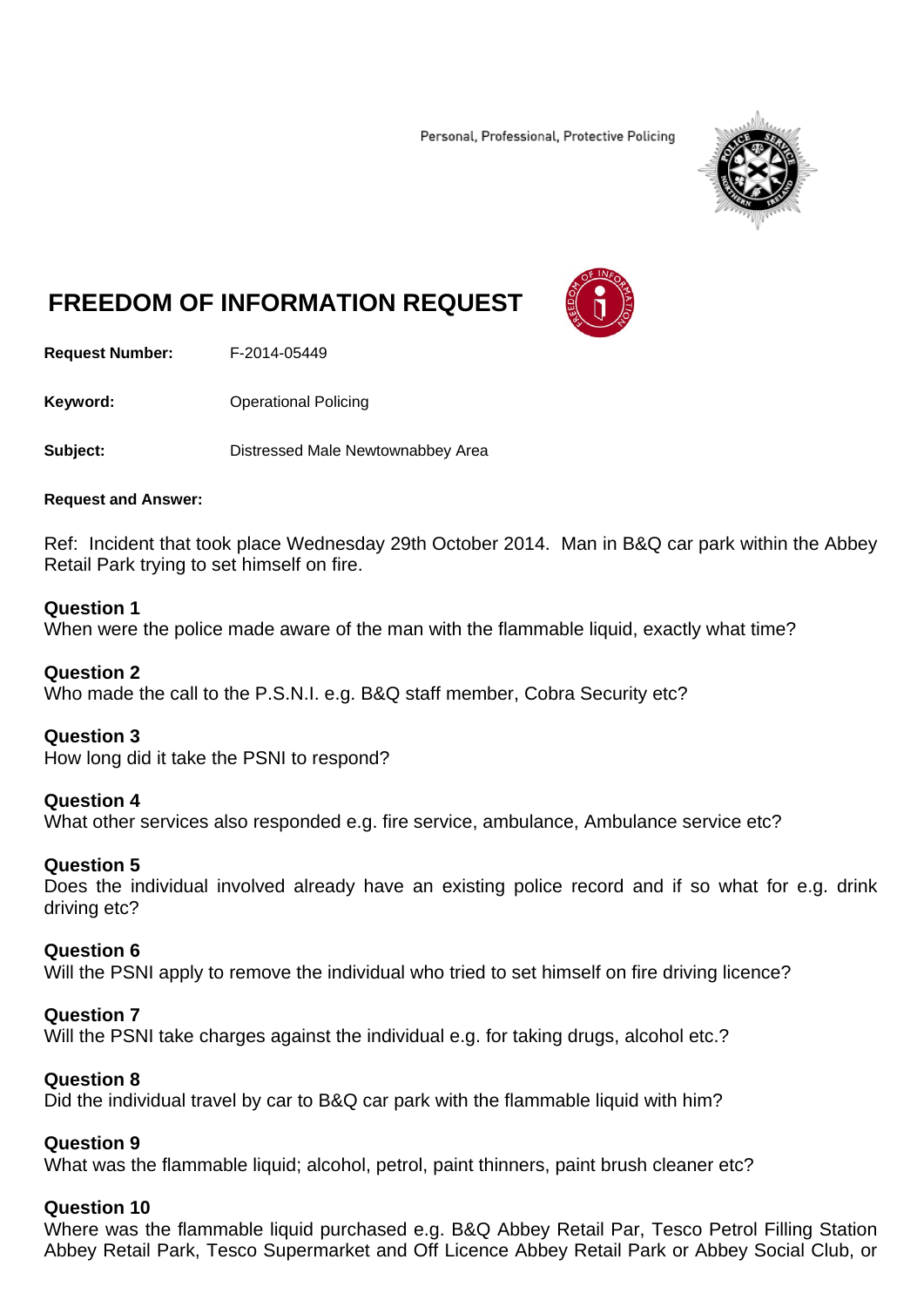Personal, Professional, Protective Policing



# **FREEDOM OF INFORMATION REQUEST**



**Request Number:** F-2014-05449

**Keyword: C**Derational Policing

**Subject:** Distressed Male Newtownabbey Area

#### **Request and Answer:**

Ref: Incident that took place Wednesday 29th October 2014. Man in B&Q car park within the Abbey Retail Park trying to set himself on fire.

#### **Question 1**

When were the police made aware of the man with the flammable liquid, exactly what time?

# **Question 2**

Who made the call to the P.S.N.I. e.g. B&Q staff member, Cobra Security etc?

# **Question 3**

How long did it take the PSNI to respond?

#### **Question 4**

What other services also responded e.g. fire service, ambulance, Ambulance service etc?

# **Question 5**

Does the individual involved already have an existing police record and if so what for e.g. drink driving etc?

#### **Question 6**

Will the PSNI apply to remove the individual who tried to set himself on fire driving licence?

#### **Question 7**

Will the PSNI take charges against the individual e.g. for taking drugs, alcohol etc.?

#### **Question 8**

Did the individual travel by car to B&Q car park with the flammable liquid with him?

# **Question 9**

What was the flammable liquid; alcohol, petrol, paint thinners, paint brush cleaner etc?

# **Question 10**

Where was the flammable liquid purchased e.g. B&Q Abbey Retail Par, Tesco Petrol Filling Station Abbey Retail Park, Tesco Supermarket and Off Licence Abbey Retail Park or Abbey Social Club, or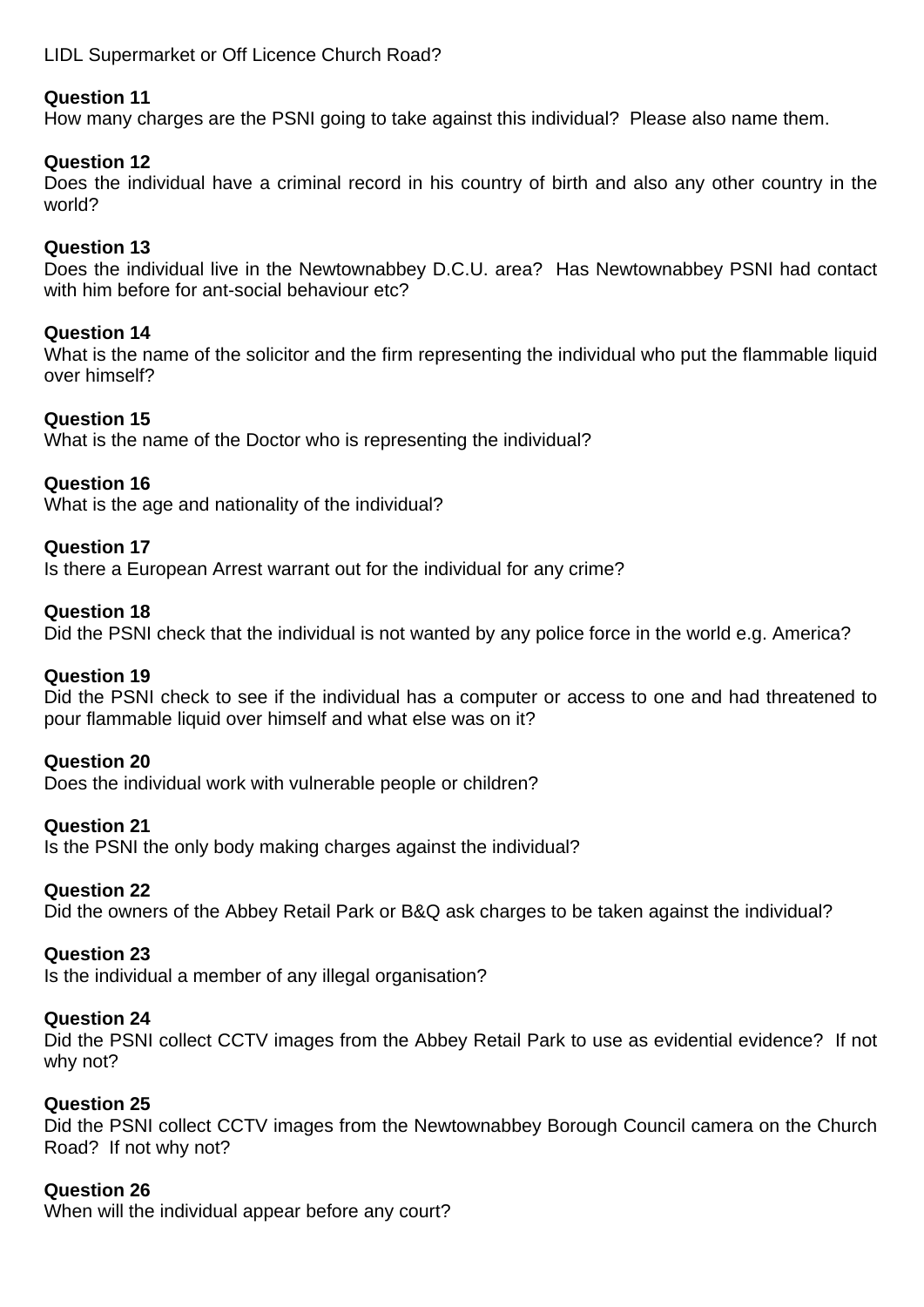# LIDL Supermarket or Off Licence Church Road?

# **Question 11**

How many charges are the PSNI going to take against this individual? Please also name them.

## **Question 12**

Does the individual have a criminal record in his country of birth and also any other country in the world?

## **Question 13**

Does the individual live in the Newtownabbey D.C.U. area? Has Newtownabbey PSNI had contact with him before for ant-social behaviour etc?

## **Question 14**

What is the name of the solicitor and the firm representing the individual who put the flammable liquid over himself?

## **Question 15**

What is the name of the Doctor who is representing the individual?

# **Question 16**

What is the age and nationality of the individual?

#### **Question 17**

Is there a European Arrest warrant out for the individual for any crime?

#### **Question 18**

Did the PSNI check that the individual is not wanted by any police force in the world e.g. America?

#### **Question 19**

Did the PSNI check to see if the individual has a computer or access to one and had threatened to pour flammable liquid over himself and what else was on it?

#### **Question 20**

Does the individual work with vulnerable people or children?

#### **Question 21**

Is the PSNI the only body making charges against the individual?

#### **Question 22**

Did the owners of the Abbey Retail Park or B&Q ask charges to be taken against the individual?

#### **Question 23**

Is the individual a member of any illegal organisation?

## **Question 24**

Did the PSNI collect CCTV images from the Abbey Retail Park to use as evidential evidence? If not why not?

#### **Question 25**

Did the PSNI collect CCTV images from the Newtownabbey Borough Council camera on the Church Road? If not why not?

# **Question 26**

When will the individual appear before any court?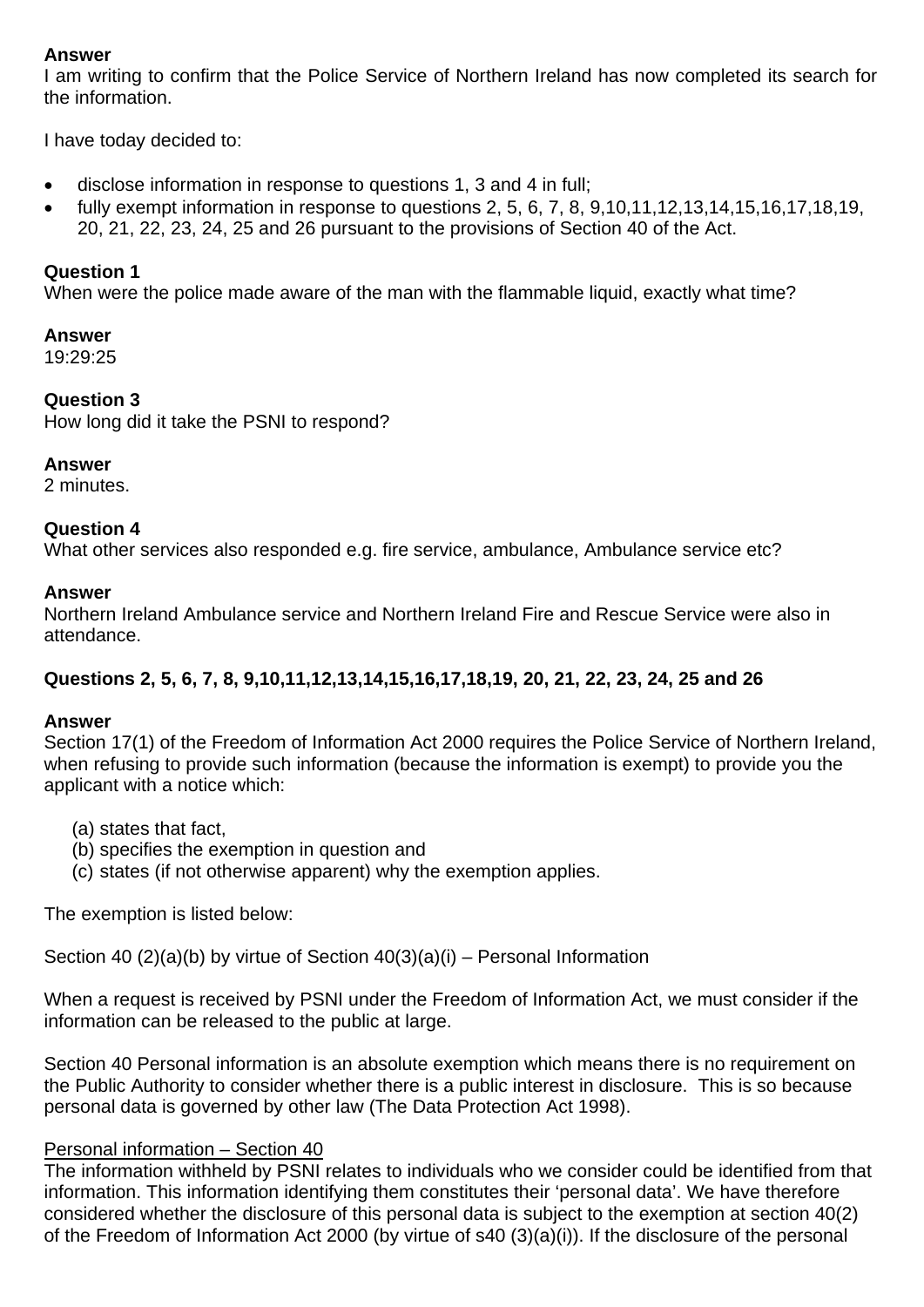# **Answer**

I am writing to confirm that the Police Service of Northern Ireland has now completed its search for the information.

I have today decided to:

- disclose information in response to questions 1, 3 and 4 in full;
- fully exempt information in response to questions 2, 5, 6, 7, 8, 9, 10, 11, 12, 13, 14, 15, 16, 17, 18, 19, 20, 21, 22, 23, 24, 25 and 26 pursuant to the provisions of Section 40 of the Act.

# **Question 1**

When were the police made aware of the man with the flammable liquid, exactly what time?

## **Answer**

19:29:25

# **Question 3**

How long did it take the PSNI to respond?

# **Answer**

2 minutes.

# **Question 4**

What other services also responded e.g. fire service, ambulance, Ambulance service etc?

## **Answer**

Northern Ireland Ambulance service and Northern Ireland Fire and Rescue Service were also in attendance.

# **Questions 2, 5, 6, 7, 8, 9,10,11,12,13,14,15,16,17,18,19, 20, 21, 22, 23, 24, 25 and 26**

# **Answer**

Section 17(1) of the Freedom of Information Act 2000 requires the Police Service of Northern Ireland, when refusing to provide such information (because the information is exempt) to provide you the applicant with a notice which:

- (a) states that fact,
- (b) specifies the exemption in question and
- (c) states (if not otherwise apparent) why the exemption applies.

The exemption is listed below:

Section 40  $(2)(a)(b)$  by virtue of Section  $40(3)(a)(i)$  – Personal Information

When a request is received by PSNI under the Freedom of Information Act, we must consider if the information can be released to the public at large.

Section 40 Personal information is an absolute exemption which means there is no requirement on the Public Authority to consider whether there is a public interest in disclosure. This is so because personal data is governed by other law (The Data Protection Act 1998).

# Personal information – Section 40

The information withheld by PSNI relates to individuals who we consider could be identified from that information. This information identifying them constitutes their 'personal data'. We have therefore considered whether the disclosure of this personal data is subject to the exemption at section 40(2) of the Freedom of Information Act 2000 (by virtue of s40 (3)(a)(i)). If the disclosure of the personal